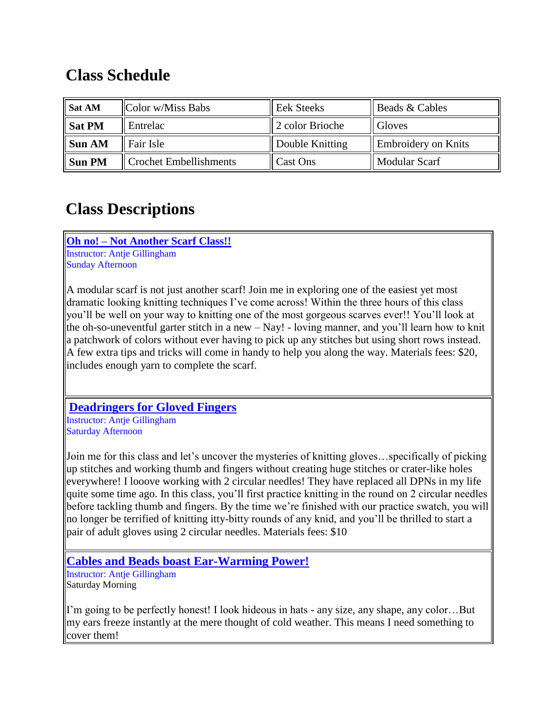## **Class Schedule**

| Sat AM        | Color w/Miss Babs             | <b>Eek Steeks</b>    | Beads & Cables      |
|---------------|-------------------------------|----------------------|---------------------|
| <b>Sat PM</b> | Entrelac                      | 2 color Brioche      | <b>Gloves</b>       |
| Sun AM        | Fair Isle                     | Double Knitting      | Embroidery on Knits |
| <b>Sun PM</b> | <b>Crochet Embellishments</b> | $\parallel$ Cast Ons | Modular Scarf       |

# **Class Descriptions**

**Oh no! – Not Another Scarf Class!!** Instructor: Antje Gillingham Sunday Afternoon

A modular scarf is not just another scarf! Join me in exploring one of the easiest yet most dramatic looking knitting techniques I've come across! Within the three hours of this class you'll be well on your way to knitting one of the most gorgeous scarves ever!! You'll look at the oh-so-uneventful garter stitch in a new – Nay! - loving manner, and you'll learn how to knit a patchwork of colors without ever having to pick up any stitches but using short rows instead. A few extra tips and tricks will come in handy to help you along the way. Materials fees: \$20, includes enough yarn to complete the scarf.

### **Deadringers for Gloved Fingers**

Instructor: Antje Gillingham Saturday Afternoon

Join me for this class and let's uncover the mysteries of knitting gloves…specifically of picking up stitches and working thumb and fingers without creating huge stitches or crater-like holes everywhere! I looove working with 2 circular needles! They have replaced all DPNs in my life quite some time ago. In this class, you'll first practice knitting in the round on 2 circular needles before tackling thumb and fingers. By the time we're finished with our practice swatch, you will no longer be terrified of knitting itty-bitty rounds of any knid, and you'll be thrilled to start a pair of adult gloves using 2 circular needles. Materials fees: \$10

**Cables and Beads boast Ear-Warming Power!**

Instructor: Antje Gillingham Saturday Morning

I'm going to be perfectly honest! I look hideous in hats - any size, any shape, any color…But my ears freeze instantly at the mere thought of cold weather. This means I need something to cover them!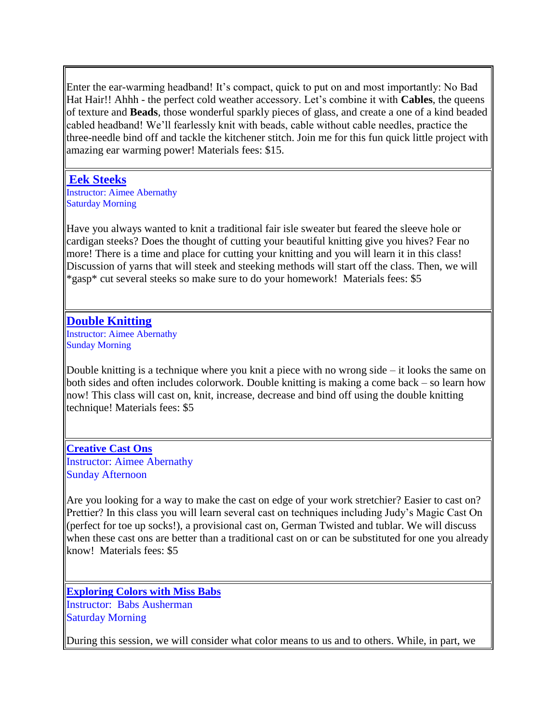Enter the ear-warming headband! It's compact, quick to put on and most importantly: No Bad Hat Hair!! Ahhh - the perfect cold weather accessory. Let's combine it with **Cables**, the queens of texture and **Beads**, those wonderful sparkly pieces of glass, and create a one of a kind beaded cabled headband! We'll fearlessly knit with beads, cable without cable needles, practice the three-needle bind off and tackle the kitchener stitch. Join me for this fun quick little project with amazing ear warming power! Materials fees: \$15.

#### **Eek Steeks**

Instructor: Aimee Abernathy Saturday Morning

Have you always wanted to knit a traditional fair isle sweater but feared the sleeve hole or cardigan steeks? Does the thought of cutting your beautiful knitting give you hives? Fear no more! There is a time and place for cutting your knitting and you will learn it in this class! Discussion of yarns that will steek and steeking methods will start off the class. Then, we will \*gasp\* cut several steeks so make sure to do your homework! Materials fees: \$5

#### **Double Knitting**

Instructor: Aimee Abernathy Sunday Morning

Double knitting is a technique where you knit a piece with no wrong side – it looks the same on both sides and often includes colorwork. Double knitting is making a come back – so learn how now! This class will cast on, knit, increase, decrease and bind off using the double knitting technique! Materials fees: \$5

**Creative Cast Ons** Instructor: Aimee Abernathy Sunday Afternoon

Are you looking for a way to make the cast on edge of your work stretchier? Easier to cast on? Prettier? In this class you will learn several cast on techniques including Judy's Magic Cast On (perfect for toe up socks!), a provisional cast on, German Twisted and tublar. We will discuss when these cast ons are better than a traditional cast on or can be substituted for one you already know! Materials fees: \$5

**Exploring Colors with Miss Babs** Instructor: Babs Ausherman Saturday Morning

During this session, we will consider what color means to us and to others. While, in part, we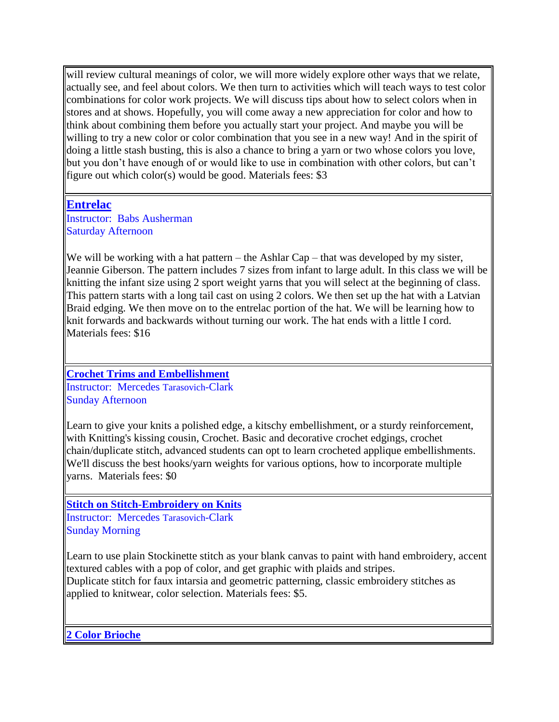will review cultural meanings of color, we will more widely explore other ways that we relate, actually see, and feel about colors. We then turn to activities which will teach ways to test color combinations for color work projects. We will discuss tips about how to select colors when in stores and at shows. Hopefully, you will come away a new appreciation for color and how to think about combining them before you actually start your project. And maybe you will be willing to try a new color or color combination that you see in a new way! And in the spirit of doing a little stash busting, this is also a chance to bring a yarn or two whose colors you love, but you don't have enough of or would like to use in combination with other colors, but can't figure out which color(s) would be good. Materials fees: \$3

#### **Entrelac**

Instructor: Babs Ausherman Saturday Afternoon

We will be working with a hat pattern – the Ashlar Cap – that was developed by my sister, Jeannie Giberson. The pattern includes 7 sizes from infant to large adult. In this class we will be knitting the infant size using 2 sport weight yarns that you will select at the beginning of class. This pattern starts with a long tail cast on using 2 colors. We then set up the hat with a Latvian Braid edging. We then move on to the entrelac portion of the hat. We will be learning how to knit forwards and backwards without turning our work. The hat ends with a little I cord. Materials fees: \$16

**Crochet Trims and Embellishment** Instructor: Mercedes Tarasovich-Clark Sunday Afternoon

Learn to give your knits a polished edge, a kitschy embellishment, or a sturdy reinforcement, with Knitting's kissing cousin, Crochet. Basic and decorative crochet edgings, crochet chain/duplicate stitch, advanced students can opt to learn crocheted applique embellishments. We'll discuss the best hooks/yarn weights for various options, how to incorporate multiple yarns. Materials fees: \$0

#### **Stitch on Stitch-Embroidery on Knits**

Instructor: Mercedes Tarasovich-Clark Sunday Morning

Learn to use plain Stockinette stitch as your blank canvas to paint with hand embroidery, accent textured cables with a pop of color, and get graphic with plaids and stripes. Duplicate stitch for faux intarsia and geometric patterning, classic embroidery stitches as applied to knitwear, color selection. Materials fees: \$5.

**2 Color Brioche**